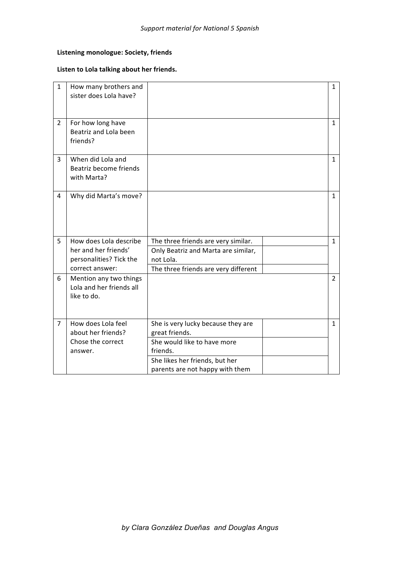## **Listening monologue: Society, friends**

### Listen to Lola talking about her friends.

| $\mathbf{1}$   | How many brothers and<br>sister does Lola have?                   |                                      | $\mathbf{1}$   |
|----------------|-------------------------------------------------------------------|--------------------------------------|----------------|
| $\overline{2}$ | For how long have<br>Beatriz and Lola been<br>friends?            |                                      | $\mathbf{1}$   |
| 3              | When did Lola and<br>Beatriz become friends<br>with Marta?        |                                      | $\mathbf{1}$   |
| 4              | Why did Marta's move?                                             |                                      | $\mathbf{1}$   |
| 5              | How does Lola describe                                            | The three friends are very similar.  | $\mathbf{1}$   |
|                | her and her friends'                                              | Only Beatriz and Marta are similar,  |                |
|                | personalities? Tick the                                           | not Lola.                            |                |
|                | correct answer:                                                   | The three friends are very different |                |
| 6              | Mention any two things<br>Lola and her friends all<br>like to do. |                                      | $\overline{2}$ |
|                |                                                                   |                                      |                |
| 7              | How does Lola feel                                                | She is very lucky because they are   | $\mathbf{1}$   |
|                | about her friends?                                                | great friends.                       |                |
|                | Chose the correct                                                 | She would like to have more          |                |
|                | answer.                                                           | friends.                             |                |
|                |                                                                   | She likes her friends, but her       |                |
|                |                                                                   | parents are not happy with them      |                |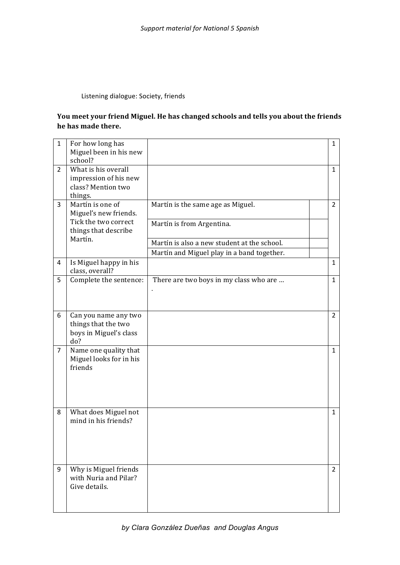## Listening dialogue: Society, friends

## You meet your friend Miguel. He has changed schools and tells you about the friends he has made there.

| $\mathbf{1}$   | For how long has<br>Miguel been in his new<br>school?                                     |                                                                | $\mathbf{1}$   |
|----------------|-------------------------------------------------------------------------------------------|----------------------------------------------------------------|----------------|
| $\overline{2}$ | What is his overall<br>impression of his new<br>class? Mention two<br>things.             |                                                                | $\mathbf{1}$   |
| 3              | Martín is one of<br>Miguel's new friends.<br>Tick the two correct<br>things that describe | Martín is the same age as Miguel.<br>Martín is from Argentina. | $\overline{2}$ |
|                | Martín.                                                                                   | Martín is also a new student at the school.                    |                |
| 4              | Is Miguel happy in his<br>class, overall?                                                 | Martín and Miguel play in a band together.                     | $\mathbf{1}$   |
| 5              | Complete the sentence:                                                                    | There are two boys in my class who are                         | $\mathbf{1}$   |
| 6              | Can you name any two<br>things that the two<br>boys in Miguel's class<br>do?              |                                                                | $\overline{2}$ |
| 7              | Name one quality that<br>Miguel looks for in his<br>friends                               |                                                                | $\mathbf{1}$   |
| 8              | What does Miguel not<br>mind in his friends?                                              |                                                                | $\mathbf{1}$   |
| 9              | Why is Miguel friends<br>with Nuria and Pilar?<br>Give details.                           |                                                                | $\overline{2}$ |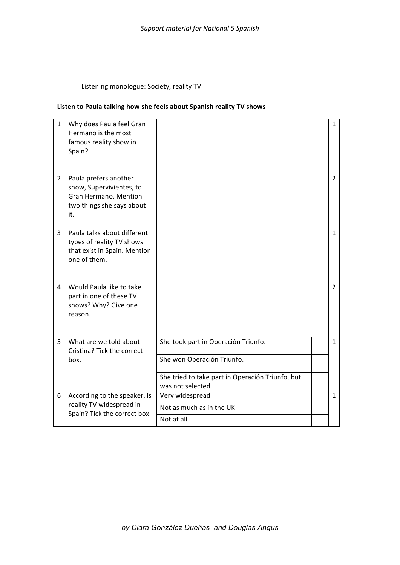Listening monologue: Society, reality TV

### Listen to Paula talking how she feels about Spanish reality TV shows

| $\mathbf{1}$   | Why does Paula feel Gran<br>Hermano is the most<br>famous reality show in<br>Spain?                            |                                                                       | $\mathbf{1}$   |
|----------------|----------------------------------------------------------------------------------------------------------------|-----------------------------------------------------------------------|----------------|
| $\overline{2}$ | Paula prefers another<br>show, Supervivientes, to<br>Gran Hermano. Mention<br>two things she says about<br>it. |                                                                       | $\overline{2}$ |
| 3              | Paula talks about different<br>types of reality TV shows<br>that exist in Spain. Mention<br>one of them.       |                                                                       | 1              |
| 4              | Would Paula like to take<br>part in one of these TV<br>shows? Why? Give one<br>reason.                         |                                                                       | $\overline{2}$ |
| 5              | What are we told about<br>Cristina? Tick the correct<br>box.                                                   | She took part in Operación Triunfo.<br>She won Operación Triunfo.     | $\mathbf{1}$   |
|                |                                                                                                                | She tried to take part in Operación Triunfo, but<br>was not selected. |                |
| 6              | According to the speaker, is<br>reality TV widespread in<br>Spain? Tick the correct box.                       | Very widespread                                                       | 1              |
|                |                                                                                                                | Not as much as in the UK                                              |                |
|                |                                                                                                                | Not at all                                                            |                |